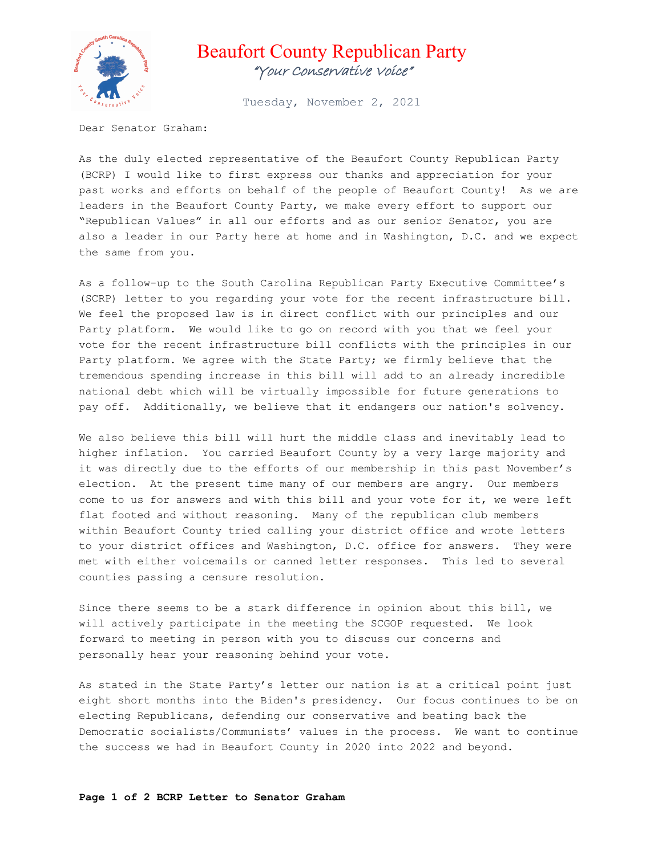

## Beaufort County Republican Party "Your Conservative Voice"

Tuesday, November 2, 2021

Dear Senator Graham:

As the duly elected representative of the Beaufort County Republican Party (BCRP) I would like to first express our thanks and appreciation for your past works and efforts on behalf of the people of Beaufort County! As we are leaders in the Beaufort County Party, we make every effort to support our "Republican Values" in all our efforts and as our senior Senator, you are also a leader in our Party here at home and in Washington, D.C. and we expect the same from you.

As a follow-up to the South Carolina Republican Party Executive Committee's (SCRP) letter to you regarding your vote for the recent infrastructure bill. We feel the proposed law is in direct conflict with our principles and our Party platform. We would like to go on record with you that we feel your vote for the recent infrastructure bill conflicts with the principles in our Party platform. We agree with the State Party; we firmly believe that the tremendous spending increase in this bill will add to an already incredible national debt which will be virtually impossible for future generations to pay off. Additionally, we believe that it endangers our nation's solvency.

We also believe this bill will hurt the middle class and inevitably lead to higher inflation. You carried Beaufort County by a very large majority and it was directly due to the efforts of our membership in this past November's election. At the present time many of our members are angry. Our members come to us for answers and with this bill and your vote for it, we were left flat footed and without reasoning. Many of the republican club members within Beaufort County tried calling your district office and wrote letters to your district offices and Washington, D.C. office for answers. They were met with either voicemails or canned letter responses. This led to several counties passing a censure resolution.

Since there seems to be a stark difference in opinion about this bill, we will actively participate in the meeting the SCGOP requested. We look forward to meeting in person with you to discuss our concerns and personally hear your reasoning behind your vote.

As stated in the State Party's letter our nation is at a critical point just eight short months into the Biden's presidency. Our focus continues to be on electing Republicans, defending our conservative and beating back the Democratic socialists/Communists' values in the process. We want to continue the success we had in Beaufort County in 2020 into 2022 and beyond.